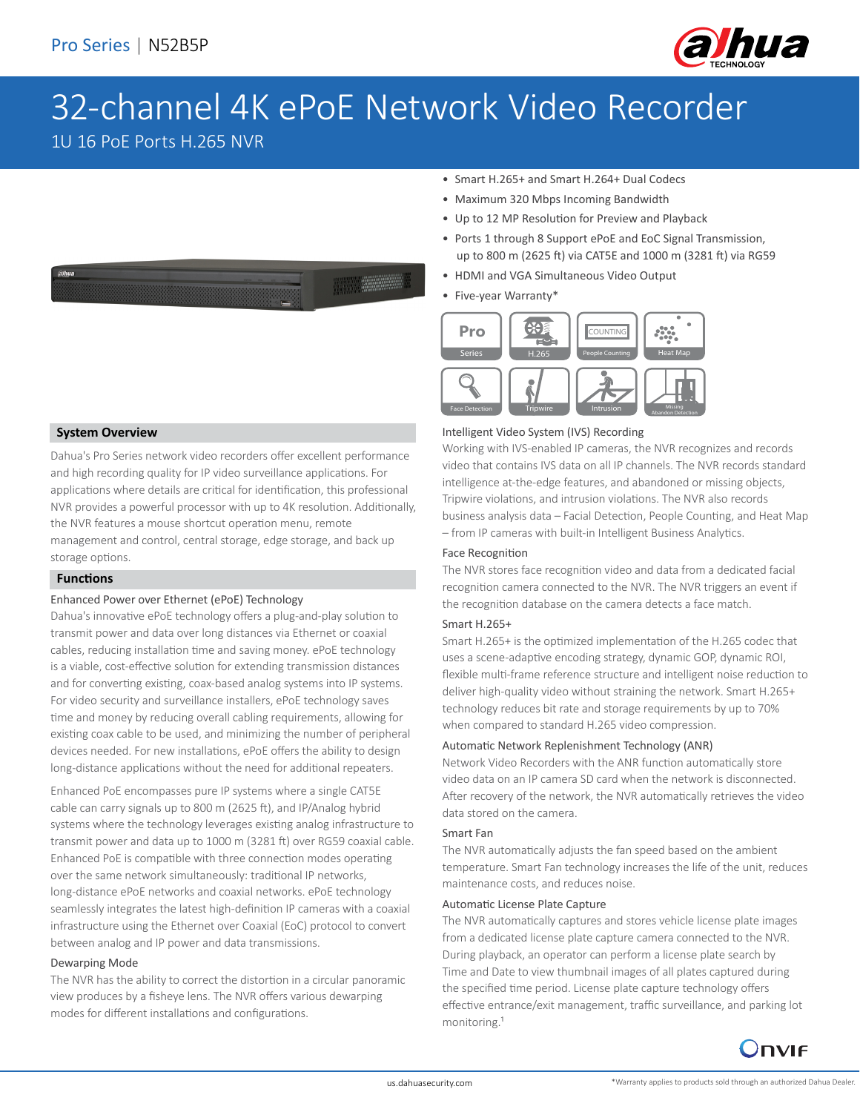

# 32-channel 4K ePoE Network Video Recorder

1U 16 PoE Ports H.265 NVR

- Smart H.265+ and Smart H.264+ Dual Codecs
- Maximum 320 Mbps Incoming Bandwidth
- Up to 12 MP Resolution for Preview and Playback
- Ports 1 through 8 Support ePoE and EoC Signal Transmission, up to 800 m (2625 ft) via CAT5E and 1000 m (3281 ft) via RG59
- HDMI and VGA Simultaneous Video Output
- Five-year Warranty\*



#### Intelligent Video System (IVS) Recording

Working with IVS-enabled IP cameras, the NVR recognizes and records video that contains IVS data on all IP channels. The NVR records standard intelligence at-the-edge features, and abandoned or missing objects, Tripwire violations, and intrusion violations. The NVR also records business analysis data – Facial Detection, People Counting, and Heat Map – from IP cameras with built-in Intelligent Business Analytics.

### Face Recognition

The NVR stores face recognition video and data from a dedicated facial recognition camera connected to the NVR. The NVR triggers an event if the recognition database on the camera detects a face match.

### Smart H.265+

Smart H.265+ is the optimized implementation of the H.265 codec that uses a scene-adaptive encoding strategy, dynamic GOP, dynamic ROI, flexible multi-frame reference structure and intelligent noise reduction to deliver high-quality video without straining the network. Smart H.265+ technology reduces bit rate and storage requirements by up to 70% when compared to standard H.265 video compression.

### Automatic Network Replenishment Technology (ANR)

Network Video Recorders with the ANR function automatically store video data on an IP camera SD card when the network is disconnected. After recovery of the network, the NVR automatically retrieves the video data stored on the camera.

### Smart Fan

The NVR automatically adjusts the fan speed based on the ambient temperature. Smart Fan technology increases the life of the unit, reduces maintenance costs, and reduces noise.

### Automatic License Plate Capture

The NVR automatically captures and stores vehicle license plate images from a dedicated license plate capture camera connected to the NVR. During playback, an operator can perform a license plate search by Time and Date to view thumbnail images of all plates captured during the specified time period. License plate capture technology offers effective entrance/exit management, traffic surveillance, and parking lot monitoring.<sup>1</sup>



### **System Overview**

Dahua's Pro Series network video recorders offer excellent performance and high recording quality for IP video surveillance applications. For applications where details are critical for identification, this professional NVR provides a powerful processor with up to 4K resolution. Additionally, the NVR features a mouse shortcut operation menu, remote management and control, central storage, edge storage, and back up storage options.

### **Functions**

### Enhanced Power over Ethernet (ePoE) Technology

Dahua's innovative ePoE technology offers a plug-and-play solution to transmit power and data over long distances via Ethernet or coaxial cables, reducing installation time and saving money. ePoE technology is a viable, cost-effective solution for extending transmission distances and for converting existing, coax-based analog systems into IP systems. For video security and surveillance installers, ePoE technology saves time and money by reducing overall cabling requirements, allowing for existing coax cable to be used, and minimizing the number of peripheral devices needed. For new installations, ePoE offers the ability to design long-distance applications without the need for additional repeaters.

Enhanced PoE encompasses pure IP systems where a single CAT5E cable can carry signals up to 800 m (2625 ft), and IP/Analog hybrid systems where the technology leverages existing analog infrastructure to transmit power and data up to 1000 m (3281 ft) over RG59 coaxial cable. Enhanced PoE is compatible with three connection modes operating over the same network simultaneously: traditional IP networks, long-distance ePoE networks and coaxial networks. ePoE technology seamlessly integrates the latest high-definition IP cameras with a coaxial infrastructure using the Ethernet over Coaxial (EoC) protocol to convert between analog and IP power and data transmissions.

#### Dewarping Mode

The NVR has the ability to correct the distortion in a circular panoramic view produces by a fisheye lens. The NVR offers various dewarping modes for different installations and configurations.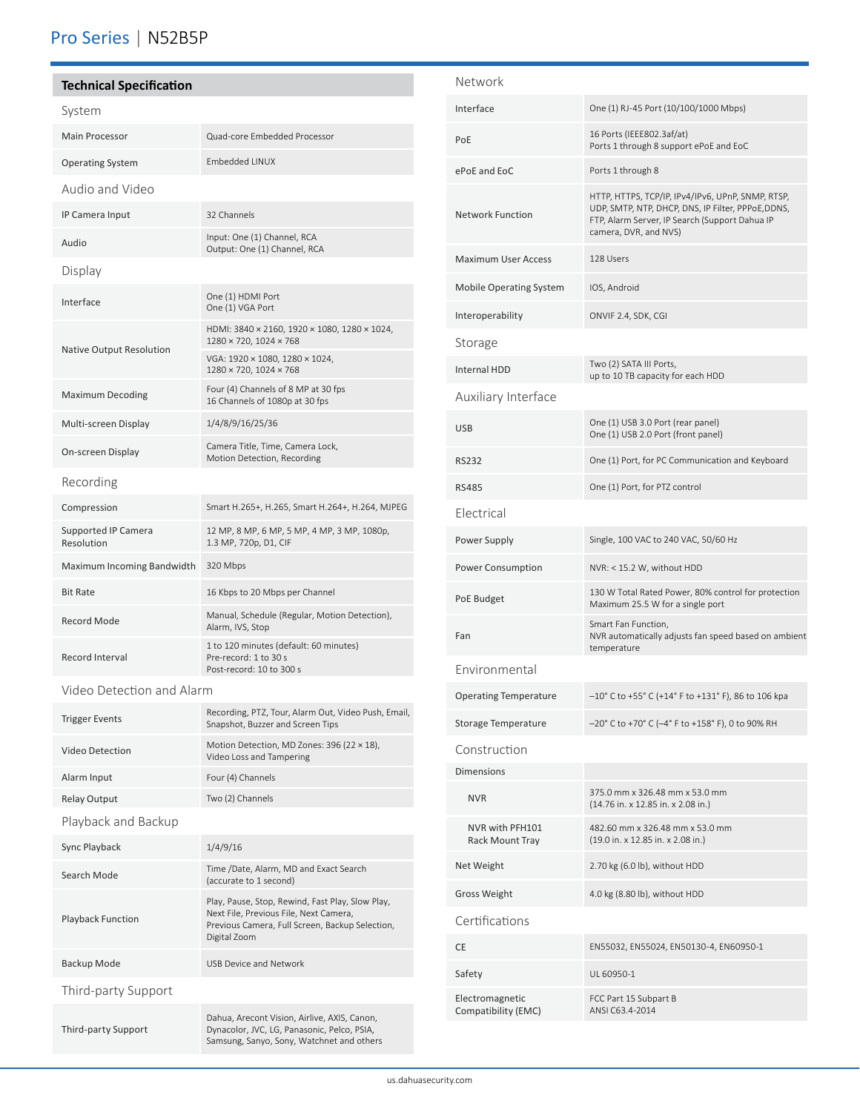# Pro Series | N52B5P

## **Technical Specification**

| Quad-core Embedded Processor                                                                |
|---------------------------------------------------------------------------------------------|
| <b>Embedded LINUX</b>                                                                       |
|                                                                                             |
| 32 Channels                                                                                 |
| Input: One (1) Channel, RCA<br>Output: One (1) Channel, RCA                                 |
|                                                                                             |
| One (1) HDMI Port<br>One (1) VGA Port                                                       |
| HDMI: 3840 × 2160, 1920 × 1080, 1280 × 1024,<br>1280 × 720, 1024 × 768                      |
| VGA: 1920 × 1080, 1280 × 1024,<br>1280 × 720, 1024 × 768                                    |
| Four (4) Channels of 8 MP at 30 fps<br>16 Channels of 1080p at 30 fps                       |
| 1/4/8/9/16/25/36                                                                            |
| Camera Title, Time, Camera Lock,<br>Motion Detection, Recording                             |
|                                                                                             |
| Smart H.265+, H.265, Smart H.264+, H.264, MJPEG                                             |
| 12 MP, 8 MP, 6 MP, 5 MP, 4 MP, 3 MP, 1080p,<br>1.3 MP, 720p, D1, CIF                        |
| 320 Mbps                                                                                    |
| 16 Kbps to 20 Mbps per Channel                                                              |
| Manual, Schedule (Regular, Motion Detection),<br>Alarm, IVS, Stop                           |
| 1 to 120 minutes (default: 60 minutes)<br>Pre-record: 1 to 30 s<br>Post-record: 10 to 300 s |
|                                                                                             |

Video Detection and Alarm

| <b>Trigger Events</b>    | Recording, PTZ, Tour, Alarm Out, Video Push, Email,<br>Snapshot, Buzzer and Screen Tips                                                                       |
|--------------------------|---------------------------------------------------------------------------------------------------------------------------------------------------------------|
| Video Detection          | Motion Detection, MD Zones: 396 (22 × 18),<br>Video Loss and Tampering                                                                                        |
| Alarm Input              | Four (4) Channels                                                                                                                                             |
| <b>Relay Output</b>      | Two (2) Channels                                                                                                                                              |
| Playback and Backup      |                                                                                                                                                               |
| Sync Playback            | 1/4/9/16                                                                                                                                                      |
| Search Mode              | Time /Date, Alarm, MD and Exact Search<br>(accurate to 1 second)                                                                                              |
| <b>Playback Function</b> | Play, Pause, Stop, Rewind, Fast Play, Slow Play,<br>Next File, Previous File, Next Camera,<br>Previous Camera, Full Screen, Backup Selection,<br>Digital Zoom |
| Backup Mode              | USB Device and Network                                                                                                                                        |
| Third-party Support      |                                                                                                                                                               |
| Third-party Support      | Dahua, Arecont Vision, Airlive, AXIS, Canon,<br>Dynacolor, JVC, LG, Panasonic, Pelco, PSIA,<br>Samsung, Sanyo, Sony, Watchnet and others                      |

| Network                                |                                                                                                                                                                                    |
|----------------------------------------|------------------------------------------------------------------------------------------------------------------------------------------------------------------------------------|
| Interface                              | One (1) RJ-45 Port (10/100/1000 Mbps)                                                                                                                                              |
| PoE                                    | 16 Ports (IEEE802.3af/at)<br>Ports 1 through 8 support ePoE and EoC                                                                                                                |
| ePoE and EoC                           | Ports 1 through 8                                                                                                                                                                  |
| <b>Network Function</b>                | HTTP, HTTPS, TCP/IP, IPv4/IPv6, UPnP, SNMP, RTSP,<br>UDP, SMTP, NTP, DHCP, DNS, IP Filter, PPPoE, DDNS,<br>FTP, Alarm Server, IP Search (Support Dahua IP<br>camera, DVR, and NVS) |
| <b>Maximum User Access</b>             | 128 Users                                                                                                                                                                          |
| <b>Mobile Operating System</b>         | IOS, Android                                                                                                                                                                       |
| Interoperability                       | ONVIF 2.4, SDK, CGI                                                                                                                                                                |
| Storage                                |                                                                                                                                                                                    |
| Internal HDD                           | Two (2) SATA III Ports,<br>up to 10 TB capacity for each HDD                                                                                                                       |
| Auxiliary Interface                    |                                                                                                                                                                                    |
| <b>USB</b>                             | One (1) USB 3.0 Port (rear panel)<br>One (1) USB 2.0 Port (front panel)                                                                                                            |
| <b>RS232</b>                           | One (1) Port, for PC Communication and Keyboard                                                                                                                                    |
| <b>RS485</b>                           | One (1) Port, for PTZ control                                                                                                                                                      |
| Electrical                             |                                                                                                                                                                                    |
| Power Supply                           | Single, 100 VAC to 240 VAC, 50/60 Hz                                                                                                                                               |
| Power Consumption                      | NVR: < 15.2 W, without HDD                                                                                                                                                         |
| PoE Budget                             | 130 W Total Rated Power, 80% control for protection<br>Maximum 25.5 W for a single port                                                                                            |
| Fan                                    | Smart Fan Function,<br>NVR automatically adjusts fan speed based on ambient<br>temperature                                                                                         |
| Environmental                          |                                                                                                                                                                                    |
| <b>Operating Temperature</b>           | -10° C to +55° C (+14° F to +131° F), 86 to 106 kpa                                                                                                                                |
| Storage Temperature                    | -20° C to +70° C (-4° F to +158° F), 0 to 90% RH                                                                                                                                   |
| Construction                           |                                                                                                                                                                                    |
| <b>Dimensions</b>                      |                                                                                                                                                                                    |
| <b>NVR</b>                             | 375.0 mm x 326.48 mm x 53.0 mm<br>(14.76 in. x 12.85 in. x 2.08 in.)                                                                                                               |
| NVR with PFH101<br>Rack Mount Tray     | 482.60 mm x 326.48 mm x 53.0 mm<br>(19.0 in. x 12.85 in. x 2.08 in.)                                                                                                               |
| Net Weight                             | 2.70 kg (6.0 lb), without HDD                                                                                                                                                      |
| <b>Gross Weight</b>                    | 4.0 kg (8.80 lb), without HDD                                                                                                                                                      |
| Certifications                         |                                                                                                                                                                                    |
| <b>CE</b>                              | EN55032, EN55024, EN50130-4, EN60950-1                                                                                                                                             |
| Safety                                 | UL 60950-1                                                                                                                                                                         |
| Electromagnetic<br>Compatibility (EMC) | FCC Part 15 Subpart B<br>ANSI C63.4-2014                                                                                                                                           |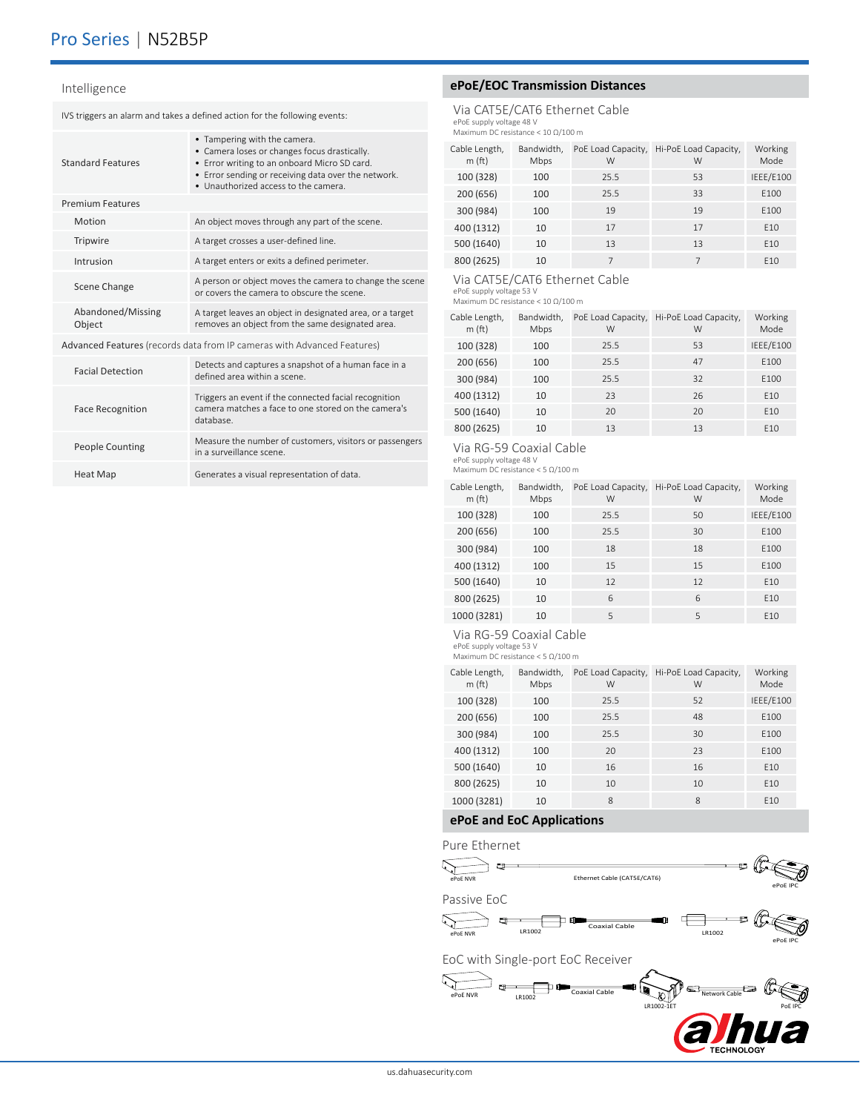## Pro Series | N52B5P

#### Intelligence

IVS triggers an alarm and takes a defined action for the following events:

|                                                                         | <b>Standard Features</b>    | • Tampering with the camera.<br>• Camera loses or changes focus drastically.<br>• Error writing to an onboard Micro SD card.<br>• Error sending or receiving data over the network.<br>. Unauthorized access to the camera. |
|-------------------------------------------------------------------------|-----------------------------|-----------------------------------------------------------------------------------------------------------------------------------------------------------------------------------------------------------------------------|
|                                                                         | <b>Premium Features</b>     |                                                                                                                                                                                                                             |
|                                                                         | Motion                      | An object moves through any part of the scene.                                                                                                                                                                              |
|                                                                         | Tripwire                    | A target crosses a user-defined line.                                                                                                                                                                                       |
|                                                                         | Intrusion                   | A target enters or exits a defined perimeter.                                                                                                                                                                               |
|                                                                         | Scene Change                | A person or object moves the camera to change the scene<br>or covers the camera to obscure the scene.                                                                                                                       |
|                                                                         | Abandoned/Missing<br>Object | A target leaves an object in designated area, or a target<br>removes an object from the same designated area.                                                                                                               |
| Advanced Features (records data from IP cameras with Advanced Features) |                             |                                                                                                                                                                                                                             |
|                                                                         | <b>Facial Detection</b>     | Detects and captures a snapshot of a human face in a<br>defined area within a scene                                                                                                                                         |
|                                                                         | <b>Face Recognition</b>     | Triggers an event if the connected facial recognition<br>camera matches a face to one stored on the camera's<br>database.                                                                                                   |
|                                                                         | <b>People Counting</b>      | Measure the number of customers, visitors or passengers<br>in a surveillance scene.                                                                                                                                         |
|                                                                         |                             |                                                                                                                                                                                                                             |

Heat Map Generates a visual representation of data.

### **ePoE/EOC Transmission Distances**

Via CAT5E/CAT6 Ethernet Cable ePoE supply voltage 48 V Maximum DC resistance < 10 Ω/100 m

| Cable Length,<br>m(f <sub>t</sub> ) | Bandwidth,<br>Mbps | PoE Load Capacity,<br>W | Hi-PoE Load Capacity,<br>W | Working<br>Mode |
|-------------------------------------|--------------------|-------------------------|----------------------------|-----------------|
| 100 (328)                           | 100                | 25.5                    | 53                         | IEEE/E100       |
| 200 (656)                           | 100                | 25.5                    | 33                         | E100            |
| 300 (984)                           | 100                | 19                      | 19                         | E100            |
| 400 (1312)                          | 10                 | 17                      | 17                         | F <sub>10</sub> |
| 500 (1640)                          | 10                 | 13                      | 13                         | F <sub>10</sub> |
| 800 (2625)                          | 10                 |                         | 7                          | F <sub>10</sub> |

### Via CAT5E/CAT6 Ethernet Cable

ePoE supply voltage 53 V Maximum DC resistance < 10 Ω/100 m

| Cable Length,<br>m(f <sub>t</sub> ) | Bandwidth,<br>Mbps | PoE Load Capacity,<br>W | Hi-PoE Load Capacity,<br>W | Working<br>Mode |
|-------------------------------------|--------------------|-------------------------|----------------------------|-----------------|
| 100 (328)                           | 100                | 25.5                    | 53                         | IEEE/E100       |
| 200 (656)                           | 100                | 25.5                    | 47                         | E100            |
| 300 (984)                           | 100                | 25.5                    | 32                         | E100            |
| 400 (1312)                          | 10                 | 23                      | 26                         | E10             |
| 500 (1640)                          | 10                 | 20                      | 20                         | E10             |
| 800 (2625)                          | 10                 | 13                      | 13                         | E10             |

### Via RG-59 Coaxial Cable

ePoE supply voltage 48 V

| Maximum DC resistance $<$ 5 $\Omega/100$ m |  |
|--------------------------------------------|--|
|                                            |  |

| Cable Length,<br>m(f <sub>t</sub> ) | Bandwidth,<br>Mbps | PoE Load Capacity,<br>W | Hi-PoE Load Capacity,<br>W | Working<br>Mode  |
|-------------------------------------|--------------------|-------------------------|----------------------------|------------------|
| 100 (328)                           | 100                | 25.5                    | 50                         | <b>IEEE/E100</b> |
| 200 (656)                           | 100                | 25.5                    | 30                         | E100             |
| 300 (984)                           | 100                | 18                      | 18                         | F <sub>100</sub> |
| 400 (1312)                          | 100                | 15                      | 15                         | E100             |
| 500 (1640)                          | 10                 | 12                      | 12                         | E10              |
| 800 (2625)                          | 10                 | 6                       | 6                          | F <sub>10</sub>  |
| 1000 (3281)                         | 10                 | 5                       | 5                          | F <sub>10</sub>  |

#### Via RG-59 Coaxial Cable

ePoE supply voltage 53 V Maximum DC resistance < 5 Ω/100 m

| Cable Length,<br>m(f <sub>t</sub> ) | Bandwidth,<br>Mbps | PoE Load Capacity,<br>W | Hi-PoE Load Capacity,<br>W | Working<br>Mode  |
|-------------------------------------|--------------------|-------------------------|----------------------------|------------------|
| 100 (328)                           | 100                | 25.5                    | 52                         | IEEE/E100        |
| 200 (656)                           | 100                | 25.5                    | 48                         | F100             |
| 300 (984)                           | 100                | 25.5                    | 30                         | F <sub>100</sub> |
| 400 (1312)                          | 100                | 20                      | 23                         | F100             |
| 500 (1640)                          | 10                 | 16                      | 16                         | F <sub>10</sub>  |
| 800 (2625)                          | 10                 | 10                      | 10                         | F <sub>10</sub>  |
| 1000 (3281)                         | 10                 | 8                       | 8                          | F <sub>10</sub>  |

### **ePoE and EoC Applications**